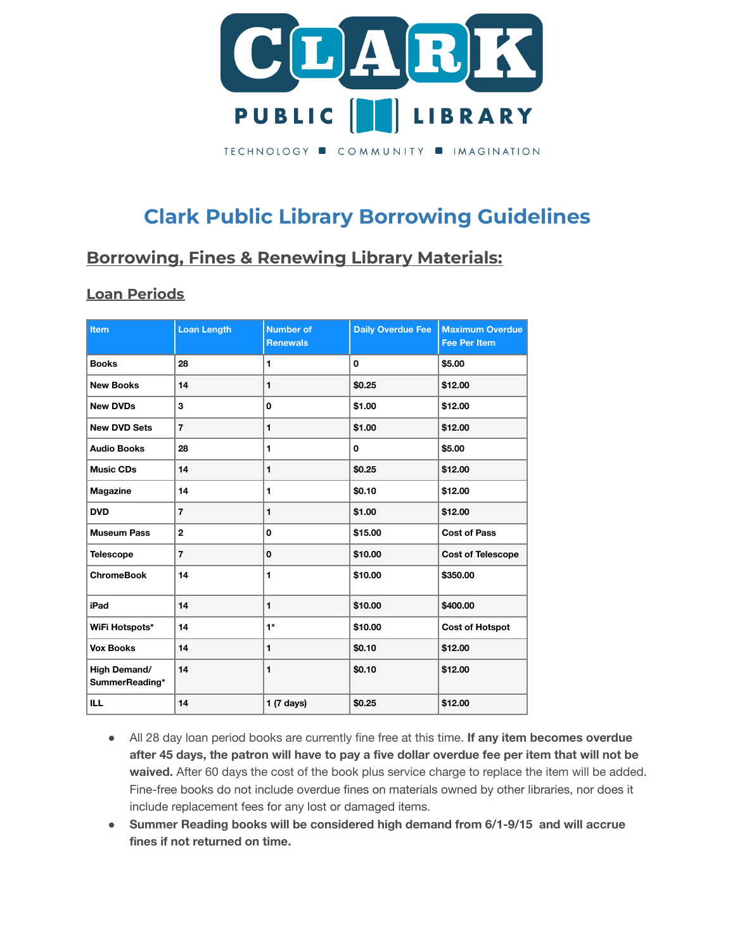

# **Clark Public Library Borrowing Guidelines**

## **Borrowing, Fines & Renewing Library Materials:**

## **Loan Periods**

| <b>Item</b>                           | <b>Loan Length</b> | <b>Number of</b><br><b>Renewals</b> | <b>Daily Overdue Fee</b> | <b>Maximum Overdue</b><br><b>Fee Per Item</b> |
|---------------------------------------|--------------------|-------------------------------------|--------------------------|-----------------------------------------------|
| <b>Books</b>                          | 28                 | 1                                   | 0                        | \$5.00                                        |
| <b>New Books</b>                      | 14                 | 1                                   | \$0.25                   | \$12.00                                       |
| <b>New DVDs</b>                       | 3                  | 0                                   | \$1.00                   | \$12.00                                       |
| <b>New DVD Sets</b>                   | $\overline{7}$     | 1                                   | \$1.00                   | \$12.00                                       |
| <b>Audio Books</b>                    | 28                 | 1                                   | 0                        | \$5.00                                        |
| <b>Music CDs</b>                      | 14                 | 1                                   | \$0.25                   | \$12.00                                       |
| <b>Magazine</b>                       | 14                 | 1                                   | \$0.10                   | \$12.00                                       |
| <b>DVD</b>                            | $\overline{7}$     | $\mathbf{1}$                        | \$1.00                   | \$12.00                                       |
| <b>Museum Pass</b>                    | $\mathbf{2}$       | 0                                   | \$15.00                  | <b>Cost of Pass</b>                           |
| <b>Telescope</b>                      | $\overline{7}$     | $\mathbf 0$                         | \$10.00                  | <b>Cost of Telescope</b>                      |
| <b>ChromeBook</b>                     | 14                 | 1                                   | \$10.00                  | \$350.00                                      |
| iPad                                  | 14                 | 1                                   | \$10.00                  | \$400.00                                      |
| WiFi Hotspots*                        | 14                 | $1*$                                | \$10.00                  | <b>Cost of Hotspot</b>                        |
| <b>Vox Books</b>                      | 14                 | 1                                   | \$0.10                   | \$12.00                                       |
| <b>High Demand/</b><br>SummerReading* | 14                 | 1                                   | \$0.10                   | \$12.00                                       |
| <b>ILL</b>                            | 14                 | $1(7 \text{ days})$                 | \$0.25                   | \$12.00                                       |

- All 28 day loan period books are currently fine free at this time. **If any item becomes overdue** after 45 days, the patron will have to pay a five dollar overdue fee per item that will not be **waived.** After 60 days the cost of the book plus service charge to replace the item will be added. Fine-free books do not include overdue fines on materials owned by other libraries, nor does it include replacement fees for any lost or damaged items.
- **● Summer Reading books will be considered high demand from 6/1-9/15 and will accrue fines if not returned on time.**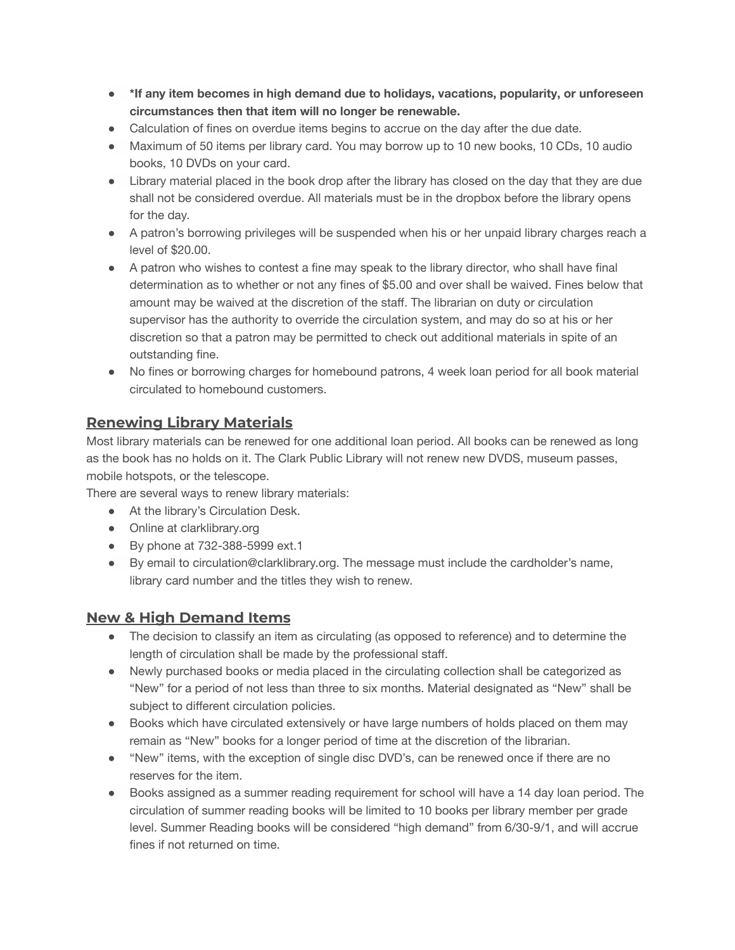- **● \*If any item becomes in high demand due to holidays, vacations, popularity, or unforeseen circumstances then that item will no longer be renewable.**
- Calculation of fines on overdue items begins to accrue on the day after the due date.
- Maximum of 50 items per library card. You may borrow up to 10 new books, 10 CDs, 10 audio books, 10 DVDs on your card.
- Library material placed in the book drop after the library has closed on the day that they are due shall not be considered overdue. All materials must be in the dropbox before the library opens for the day.
- A patron's borrowing privileges will be suspended when his or her unpaid library charges reach a level of \$20.00.
- A patron who wishes to contest a fine may speak to the library director, who shall have final determination as to whether or not any fines of \$5.00 and over shall be waived. Fines below that amount may be waived at the discretion of the staff. The librarian on duty or circulation supervisor has the authority to override the circulation system, and may do so at his or her discretion so that a patron may be permitted to check out additional materials in spite of an outstanding fine.
- No fines or borrowing charges for homebound patrons, 4 week loan period for all book material circulated to homebound customers.

## **Renewing Library Materials**

Most library materials can be renewed for one additional loan period. All books can be renewed as long as the book has no holds on it. The Clark Public Library will not renew new DVDS, museum passes, mobile hotspots, or the telescope.

There are several ways to renew library materials:

- At the library's Circulation Desk.
- Online at clarklibrary.org
- By phone at 732-388-5999 ext.1
- By email to circulation@clarklibrary.org. The message must include the cardholder's name, library card number and the titles they wish to renew.

### **New & High Demand Items**

- The decision to classify an item as circulating (as opposed to reference) and to determine the length of circulation shall be made by the professional staff.
- Newly purchased books or media placed in the circulating collection shall be categorized as "New" for a period of not less than three to six months. Material designated as "New" shall be subject to different circulation policies.
- Books which have circulated extensively or have large numbers of holds placed on them may remain as "New" books for a longer period of time at the discretion of the librarian.
- "New" items, with the exception of single disc DVD's, can be renewed once if there are no reserves for the item.
- Books assigned as a summer reading requirement for school will have a 14 day loan period. The circulation of summer reading books will be limited to 10 books per library member per grade level. Summer Reading books will be considered "high demand" from 6/30-9/1, and will accrue fines if not returned on time.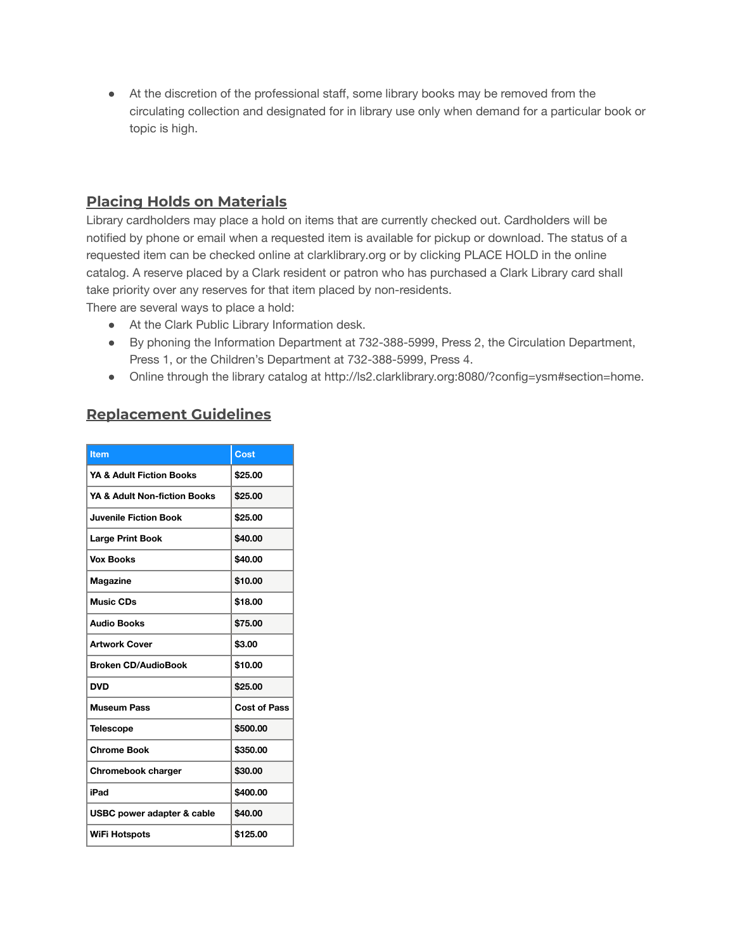● At the discretion of the professional staff, some library books may be removed from the circulating collection and designated for in library use only when demand for a particular book or topic is high.

## **Placing Holds on Materials**

Library cardholders may place a hold on items that are currently checked out. Cardholders will be notified by phone or email when a requested item is available for pickup or download. The status of a requested item can be checked online at clarklibrary.org or by clicking PLACE HOLD in the online catalog. A reserve placed by a Clark resident or patron who has purchased a Clark Library card shall take priority over any reserves for that item placed by non-residents. There are several ways to place a hold:

- At the Clark Public Library Information desk.
- By phoning the Information Department at 732-388-5999, Press 2, the Circulation Department, Press 1, or the Children's Department at 732-388-5999, Press 4.
- Online through the library catalog at http://ls2.clarklibrary.org:8080/?config=ysm#section=home.

## **Replacement Guidelines**

| <b>Item</b>                  | Cost                |
|------------------------------|---------------------|
| YA & Adult Fiction Books     | \$25.00             |
| YA & Adult Non-fiction Books | \$25.00             |
| <b>Juvenile Fiction Book</b> | \$25.00             |
| <b>Large Print Book</b>      | \$40.00             |
| <b>Vox Books</b>             | \$40.00             |
| <b>Magazine</b>              | \$10.00             |
| Music CDs                    | \$18.00             |
| <b>Audio Books</b>           | \$75.00             |
| <b>Artwork Cover</b>         | \$3.00              |
| <b>Broken CD/AudioBook</b>   | \$10.00             |
| <b>DVD</b>                   | \$25.00             |
| <b>Museum Pass</b>           | <b>Cost of Pass</b> |
| <b>Telescope</b>             | \$500.00            |
| <b>Chrome Book</b>           | \$350.00            |
| Chromebook charger           | \$30.00             |
| iPad                         | \$400.00            |
| USBC power adapter & cable   | \$40.00             |
| <b>WiFi Hotspots</b>         | \$125.00            |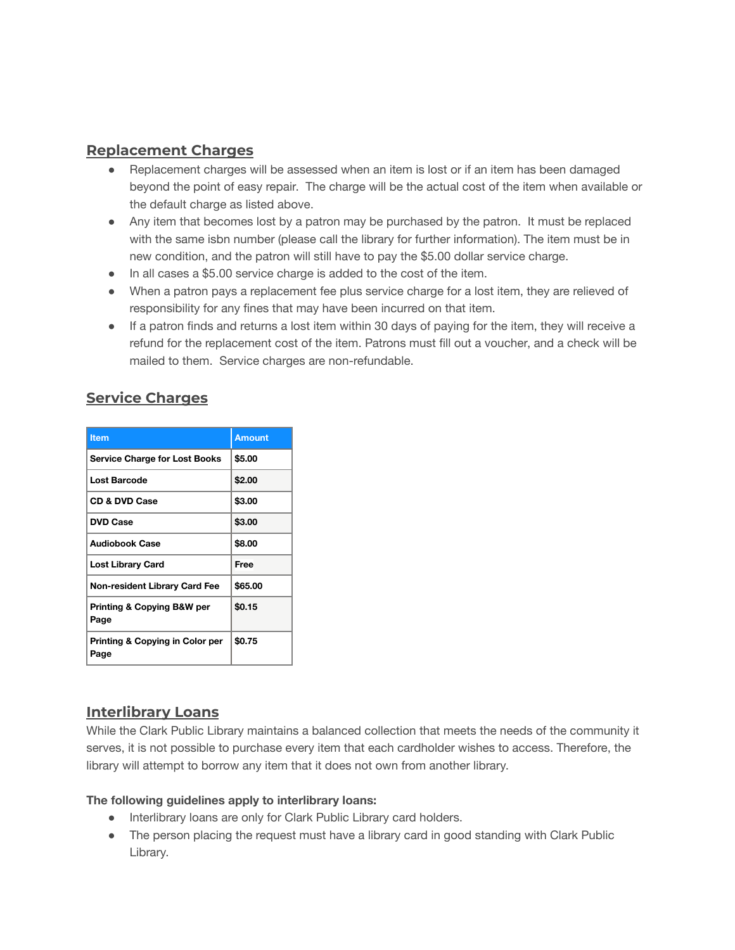## **Replacement Charges**

- Replacement charges will be assessed when an item is lost or if an item has been damaged beyond the point of easy repair. The charge will be the actual cost of the item when available or the default charge as listed above.
- Any item that becomes lost by a patron may be purchased by the patron. It must be replaced with the same isbn number (please call the library for further information). The item must be in new condition, and the patron will still have to pay the \$5.00 dollar service charge.
- In all cases a \$5.00 service charge is added to the cost of the item.
- When a patron pays a replacement fee plus service charge for a lost item, they are relieved of responsibility for any fines that may have been incurred on that item.
- If a patron finds and returns a lost item within 30 days of paying for the item, they will receive a refund for the replacement cost of the item. Patrons must fill out a voucher, and a check will be mailed to them. Service charges are non-refundable.

## **Service Charges**

| <b>Item</b>                                        | <b>Amount</b> |
|----------------------------------------------------|---------------|
| <b>Service Charge for Lost Books</b>               | \$5.00        |
| Lost Barcode                                       | \$2.00        |
| <b>CD &amp; DVD Case</b>                           | \$3.00        |
| <b>DVD Case</b>                                    | \$3.00        |
| <b>Audiobook Case</b>                              | \$8.00        |
| Lost Library Card                                  | Free          |
| <b>Non-resident Library Card Fee</b>               | \$65,00       |
| Printing & Copying B&W per<br>Page                 | \$0.15        |
| <b>Printing &amp; Copying in Color per</b><br>Page | \$0.75        |

#### **Interlibrary Loans**

While the Clark Public Library maintains a balanced collection that meets the needs of the community it serves, it is not possible to purchase every item that each cardholder wishes to access. Therefore, the library will attempt to borrow any item that it does not own from another library.

#### **The following guidelines apply to interlibrary loans:**

- Interlibrary loans are only for Clark Public Library card holders.
- The person placing the request must have a library card in good standing with Clark Public Library.